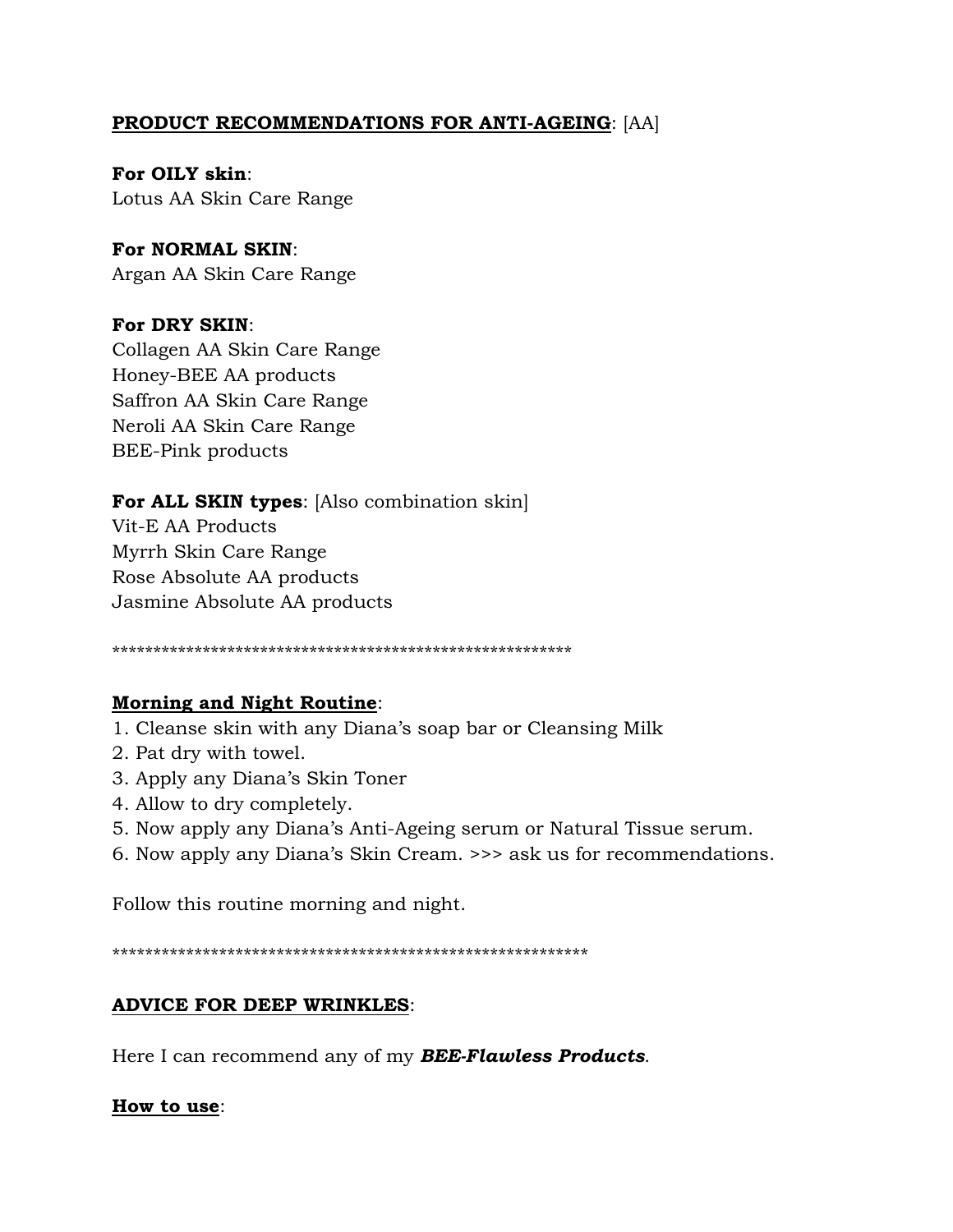### **PRODUCT RECOMMENDATIONS FOR ANTI-AGEING: [AA]**

For OILY skin: Lotus AA Skin Care Range

For NORMAL SKIN: Argan AA Skin Care Range

#### For DRY SKIN:

Collagen AA Skin Care Range Honey-BEE AA products Saffron AA Skin Care Range Neroli AA Skin Care Range **BEE-Pink products** 

#### For ALL SKIN types: [Also combination skin]

Vit-E AA Products Myrrh Skin Care Range Rose Absolute AA products Jasmine Absolute AA products

#### **Morning and Night Routine:**

- 1. Cleanse skin with any Diana's soap bar or Cleansing Milk
- 2. Pat dry with towel.
- 3. Apply any Diana's Skin Toner
- 4. Allow to dry completely.
- 5. Now apply any Diana's Anti-Ageing serum or Natural Tissue serum.
- 6. Now apply any Diana's Skin Cream. >>> ask us for recommendations.

Follow this routine morning and night.

### **ADVICE FOR DEEP WRINKLES:**

Here I can recommend any of my **BEE-Flawless Products**.

#### How to use: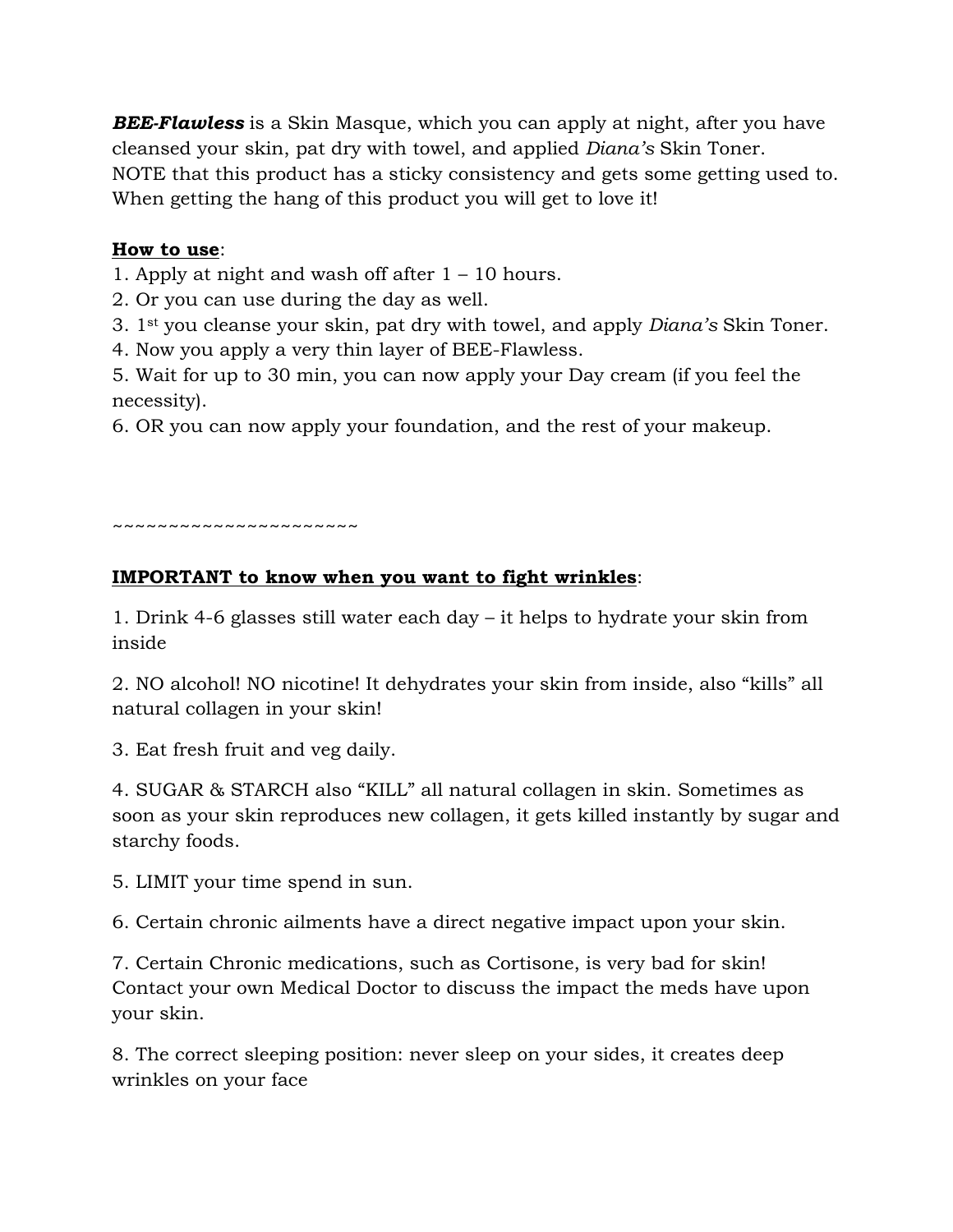*BEE-Flawless* is a Skin Masque, which you can apply at night, after you have cleansed your skin, pat dry with towel, and applied *Diana's* Skin Toner. NOTE that this product has a sticky consistency and gets some getting used to. When getting the hang of this product you will get to love it!

## **How to use**:

1. Apply at night and wash off after 1 – 10 hours.

- 2. Or you can use during the day as well.
- 3. 1st you cleanse your skin, pat dry with towel, and apply *Diana's* Skin Toner.
- 4. Now you apply a very thin layer of BEE-Flawless.

5. Wait for up to 30 min, you can now apply your Day cream (if you feel the necessity).

6. OR you can now apply your foundation, and the rest of your makeup.

~~~~~~~~~~~~~~~~~~~~~~

# **IMPORTANT to know when you want to fight wrinkles**:

1. Drink 4-6 glasses still water each day – it helps to hydrate your skin from inside

2. NO alcohol! NO nicotine! It dehydrates your skin from inside, also "kills" all natural collagen in your skin!

3. Eat fresh fruit and veg daily.

4. SUGAR & STARCH also "KILL" all natural collagen in skin. Sometimes as soon as your skin reproduces new collagen, it gets killed instantly by sugar and starchy foods.

5. LIMIT your time spend in sun.

6. Certain chronic ailments have a direct negative impact upon your skin.

7. Certain Chronic medications, such as Cortisone, is very bad for skin! Contact your own Medical Doctor to discuss the impact the meds have upon your skin.

8. The correct sleeping position: never sleep on your sides, it creates deep wrinkles on your face